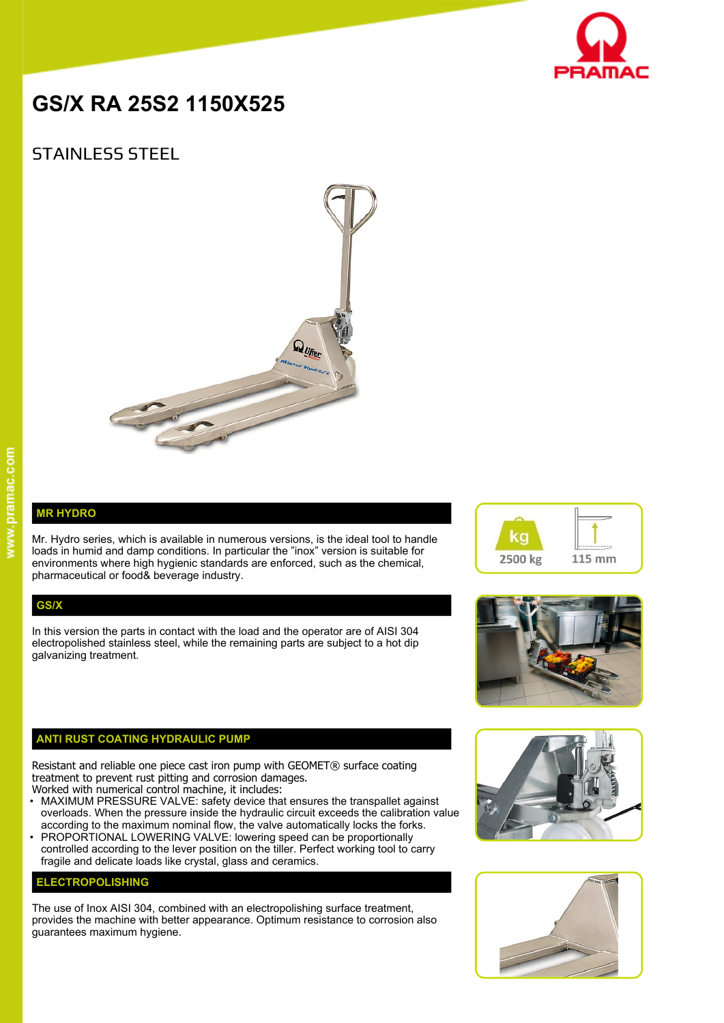

# **GS/X RA 25S2 1150X525**

## STAINLESS STEEL



#### **MR HYDRO**

Mr. Hydro series, which is available in numerous versions, is the ideal tool to handle loads in humid and damp conditions. In particular the "inox" version is suitable for environments where high hygienic standards are enforced, such as the chemical, pharmaceutical or food& beverage industry.

#### **GS/X**

In this version the parts in contact with the load and the operator are of AISI 304 electropolished stainless steel, while the remaining parts are subject to a hot dip galvanizing treatment.

### **ANTI RUST COATING HYDRAULIC PUMP**

Resistant and reliable one piece cast iron pump with GEOMET® surface coating treatment to prevent rust pitting and corrosion damages.

- Worked with numerical control machine, it includes:
- MAXIMUM PRESSURE VALVE: safety device that ensures the transpallet against overloads. When the pressure inside the hydraulic circuit exceeds the calibration value according to the maximum nominal flow, the valve automatically locks the forks.
- PROPORTIONAL LOWERING VALVE: lowering speed can be proportionally controlled according to the lever position on the tiller. Perfect working tool to carry fragile and delicate loads like crystal, glass and ceramics.

#### **ELECTROPOLISHING**

The use of Inox AISI 304, combined with an electropolishing surface treatment, provides the machine with better appearance. Optimum resistance to corrosion also guarantees maximum hygiene.







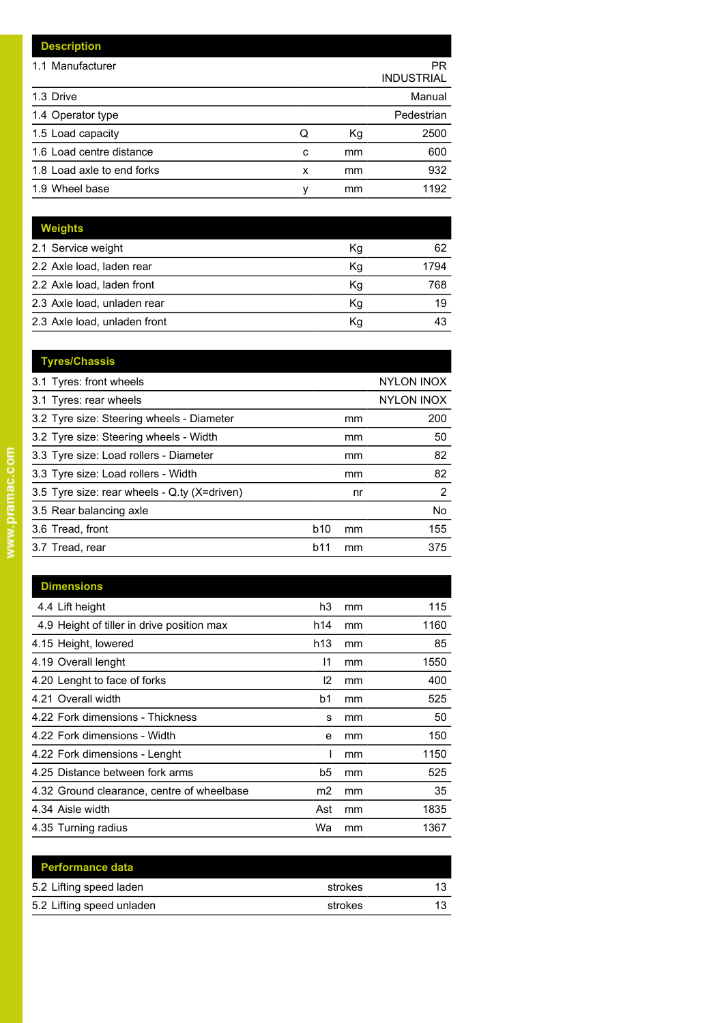| <b>Description</b>         |   |    |                         |
|----------------------------|---|----|-------------------------|
| 1.1 Manufacturer           |   |    | PR<br><b>INDUSTRIAL</b> |
| 1.3 Drive                  |   |    | Manual                  |
| 1.4 Operator type          |   |    | Pedestrian              |
| 1.5 Load capacity          | Q | Kg | 2500                    |
| 1.6 Load centre distance   | c | mm | 600                     |
| 1.8 Load axle to end forks | x | mm | 932                     |
| 1.9 Wheel base             | ٧ | mm | 1192                    |

| <b>Weights</b>               |    |      |
|------------------------------|----|------|
| 2.1 Service weight           | Kg | 62   |
| 2.2 Axle load, laden rear    | Kq | 1794 |
| 2.2 Axle load, laden front   | Kq | 768  |
| 2.3 Axle load, unladen rear  | Κq | 19   |
| 2.3 Axle load, unladen front | Κq |      |

| <b>Tyres/Chassis</b>                         |            |                   |                   |  |
|----------------------------------------------|------------|-------------------|-------------------|--|
| 3.1 Tyres: front wheels                      |            |                   | <b>NYLON INOX</b> |  |
| 3.1 Tyres: rear wheels                       |            | <b>NYLON INOX</b> |                   |  |
| 3.2 Tyre size: Steering wheels - Diameter    |            | mm                | 200               |  |
| 3.2 Tyre size: Steering wheels - Width       |            | mm                | 50                |  |
| 3.3 Tyre size: Load rollers - Diameter       |            | mm                | 82                |  |
| 3.3 Tyre size: Load rollers - Width          |            | mm                | 82                |  |
| 3.5 Tyre size: rear wheels - Q.ty (X=driven) |            | nr                | $\overline{2}$    |  |
| 3.5 Rear balancing axle                      |            |                   | No                |  |
| 3.6 Tread, front                             | <b>b10</b> | mm                | 155               |  |
| 3.7 Tread, rear                              | b11        | mm                | 375               |  |
|                                              |            |                   |                   |  |

| <b>Dimensions</b>                          |                |    |      |
|--------------------------------------------|----------------|----|------|
| 4.4 Lift height                            | h3             | mm | 115  |
| 4.9 Height of tiller in drive position max | h14            | mm | 1160 |
| 4.15 Height, lowered                       | h13            | mm | 85   |
| 4.19 Overall lenght                        | 11             | mm | 1550 |
| 4.20 Lenght to face of forks               | 12             | mm | 400  |
| 4.21 Overall width                         | b1             | mm | 525  |
| 4.22 Fork dimensions - Thickness           | s              | mm | 50   |
| 4.22 Fork dimensions - Width               | e              | mm | 150  |
| 4.22 Fork dimensions - Lenght              |                | mm | 1150 |
| 4.25 Distance between fork arms            | b5             | mm | 525  |
| 4.32 Ground clearance, centre of wheelbase | m <sub>2</sub> | mm | 35   |
| 4.34 Aisle width                           | Ast            | mm | 1835 |
| 4.35 Turning radius                        | Wa             | mm | 1367 |

| <b>Performance data</b>   |         |    |
|---------------------------|---------|----|
| 5.2 Lifting speed laden   | strokes | 12 |
| 5.2 Lifting speed unladen | strokes | 12 |